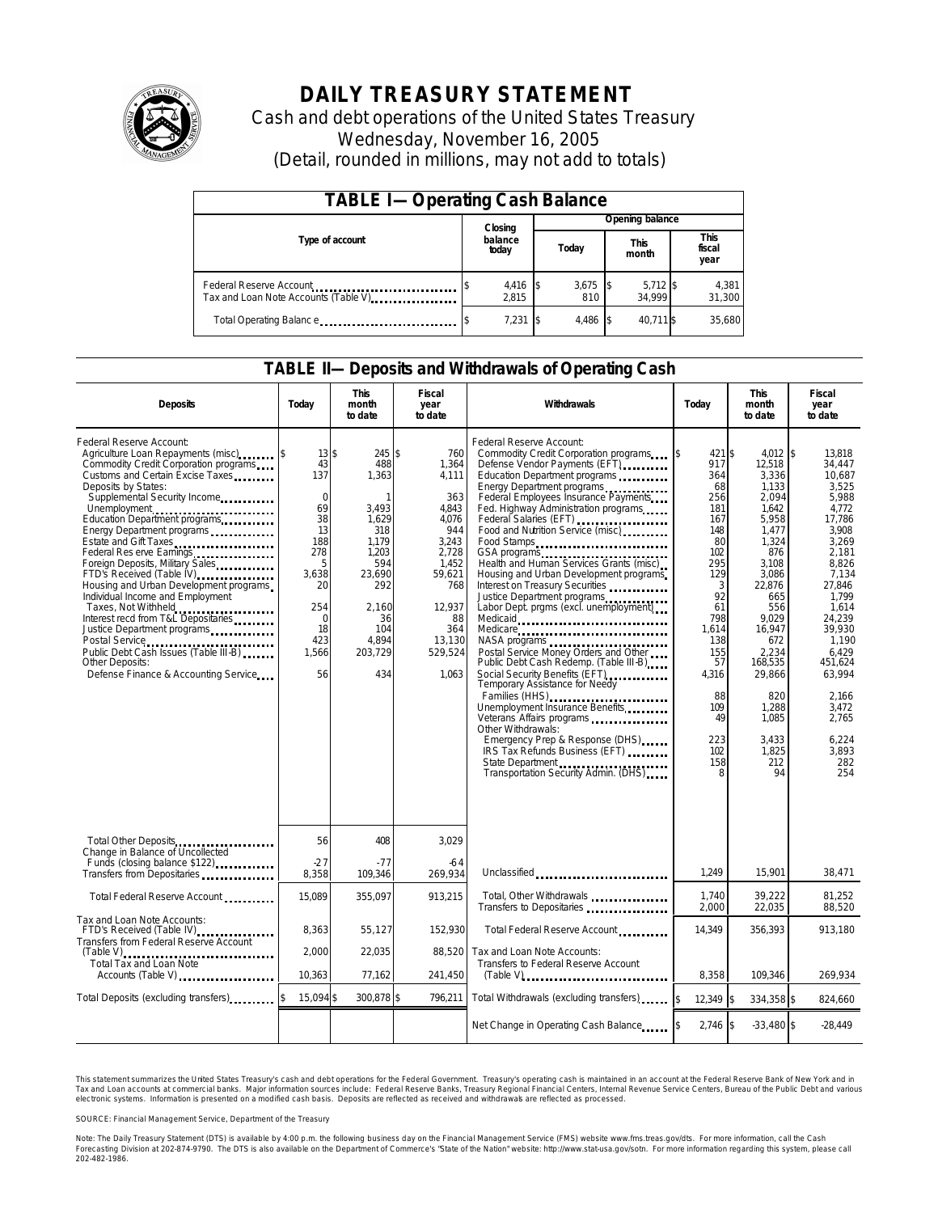

# **DAILY TREASURY STATEMENT**

Cash and debt operations of the United States Treasury Wednesday, November 16, 2005 (Detail, rounded in millions, may not add to totals)

| <b>TABLE I-Operating Cash Balance</b>                           |  |                   |  |                               |  |                       |                               |                 |
|-----------------------------------------------------------------|--|-------------------|--|-------------------------------|--|-----------------------|-------------------------------|-----------------|
|                                                                 |  | Closing           |  | Opening balance               |  |                       |                               |                 |
| Type of account                                                 |  | balance<br>today  |  | <b>This</b><br>Today<br>month |  |                       | <b>This</b><br>fiscal<br>year |                 |
| Federal Reserve Account<br>Tax and Loan Note Accounts (Table V) |  | 4,416 \$<br>2.815 |  | $3,675$ \$<br>810             |  | $5,712$ \$<br>34.9991 |                               | 4,381<br>31,300 |
| Total Operating Balance                                         |  | 7,231             |  | 4.486                         |  | 40.711 \$             |                               | 35,680          |

#### **TABLE II—Deposits and Withdrawals of Operating Cash**

| <b>Deposits</b>                                                                                                                                                                                                                                                                                                                                                                                                                                                                                                                                                                                                                                                                                                                                 | Today                                                                                                                              | <b>This</b><br>month<br>to date                                                                                                                            | <b>Fiscal</b><br>year<br>to date                                                                                                                       | Withdrawals                                                                                                                                                                                                                                                                                                                                                                                                                                                                                                                                                                                                                                                                                                                                                                                                                                                                                                                                         | Todav                                                                                                                                                                                        | <b>This</b><br>month<br>to date                                                                                                                                                                                                                 | <b>Fiscal</b><br>year<br>to date                                                                                                                                                                                                                                      |
|-------------------------------------------------------------------------------------------------------------------------------------------------------------------------------------------------------------------------------------------------------------------------------------------------------------------------------------------------------------------------------------------------------------------------------------------------------------------------------------------------------------------------------------------------------------------------------------------------------------------------------------------------------------------------------------------------------------------------------------------------|------------------------------------------------------------------------------------------------------------------------------------|------------------------------------------------------------------------------------------------------------------------------------------------------------|--------------------------------------------------------------------------------------------------------------------------------------------------------|-----------------------------------------------------------------------------------------------------------------------------------------------------------------------------------------------------------------------------------------------------------------------------------------------------------------------------------------------------------------------------------------------------------------------------------------------------------------------------------------------------------------------------------------------------------------------------------------------------------------------------------------------------------------------------------------------------------------------------------------------------------------------------------------------------------------------------------------------------------------------------------------------------------------------------------------------------|----------------------------------------------------------------------------------------------------------------------------------------------------------------------------------------------|-------------------------------------------------------------------------------------------------------------------------------------------------------------------------------------------------------------------------------------------------|-----------------------------------------------------------------------------------------------------------------------------------------------------------------------------------------------------------------------------------------------------------------------|
| Federal Reserve Account:<br>Agriculture Loan Repayments (misc)<br>Commodity Credit Corporation programs<br>Customs and Certain Excise Taxes<br>Deposits by States:<br>Supplemental Security Income<br>Unemployment<br>Education Department programs<br>Energy Department programs<br>Estate and Gift Taxes<br>Federal Res erve Earnings<br>Foreign Deposits, Military Sales<br>FTD's Received (Table IV) <b>FTD</b> 's Received (Table IV)<br>Housing and Urban Development programs<br>Individual Income and Employment<br>Taxes, Not Withheld<br>Interest recd from T&L Depositaries<br>Justice Department programs<br>Postal Service<br><br>Public Debt Cash Issues (Table III-B)<br>Other Deposits:<br>Defense Finance & Accounting Service | 13S<br>43<br>137<br>$\Omega$<br>69<br>38<br>13<br>188<br>278<br>5<br>3,638<br>20<br>254<br>$\mathbf 0$<br>18<br>423<br>1,566<br>56 | 245 \$<br>488<br>1,363<br>$\mathbf{1}$<br>3,493<br>1,629<br>318<br>1.179<br>1.203<br>594<br>23.690<br>292<br>2,160<br>36<br>104<br>4.894<br>203,729<br>434 | 760<br>1,364<br>4,111<br>363<br>4,843<br>4,076<br>944<br>3,243<br>2,728<br>1.452<br>59,621<br>768<br>12,937<br>88<br>364<br>13,130<br>529,524<br>1.063 | Federal Reserve Account:<br>Commodity Credit Corporation programs \$<br>Defense Vendor Payments (EFT)<br>Education Department programs<br>Energy Department programs<br>Federal Employees Insurance Payments<br>Fed. Highway Administration programs<br>Federal Salaries (EFT)<br>Food and Nutrition Service (misc)<br>Food Stamps<br>Health and Human Services Grants (misc)<br>Housing and Urban Development programs<br>Interest on Treasury Securities<br>Justice Department programs<br>Labor Dept. prgms (excl. unemployment)<br>Medicare<br>Postal Service Money Orders and Other<br>Public Debt Cash Redemp. (Table III-B)<br>Social Security Benefits (EFT)<br><br>Temporary Assistance for Needy<br>Families (HHS)<br>Unemployment Insurance Benefits<br>Veterans Affairs programs<br>Other Withdrawals:<br>Emergency Prep & Response (DHS)<br>IRS Tax Refunds Business (EFT)<br>State Department<br>Transportation Security Admin. (DHS) | 421 \$<br>917<br>364<br>68<br>256<br>181<br>167<br>148<br>80<br>102<br>295<br>129<br>3<br>92<br>61<br>798<br>1,614<br>138<br>155<br>57<br>4,316<br>88<br>109<br>49<br>223<br>102<br>158<br>8 | 4.012<br>12,518<br>3,336<br>1,133<br>2,094<br>1,642<br>5,958<br>1,477<br>1,324<br>876<br>3.108<br>3,086<br>22,876<br>665<br>556<br>9,029<br>16,947<br>672<br>2,234<br>168,535<br>29.866<br>820<br>1,288<br>1,085<br>3,433<br>1,825<br>212<br>94 | 1\$<br>13.818<br>34,447<br>10.687<br>3,525<br>5,988<br>4.772<br>17,786<br>3,908<br>3,269<br>2,181<br>8.826<br>7,134<br>27,846<br>1.799<br>1,614<br>24.239<br>39,930<br>1.190<br>6.429<br>451.624<br>63.994<br>2.166<br>3,472<br>2,765<br>6,224<br>3.893<br>282<br>254 |
| Total Other Deposits                                                                                                                                                                                                                                                                                                                                                                                                                                                                                                                                                                                                                                                                                                                            | 56                                                                                                                                 | 408                                                                                                                                                        | 3,029                                                                                                                                                  |                                                                                                                                                                                                                                                                                                                                                                                                                                                                                                                                                                                                                                                                                                                                                                                                                                                                                                                                                     |                                                                                                                                                                                              |                                                                                                                                                                                                                                                 |                                                                                                                                                                                                                                                                       |
| Change in Balance of Uncollected<br>Funds (closing balance \$122)<br>Transfers from Depositaries                                                                                                                                                                                                                                                                                                                                                                                                                                                                                                                                                                                                                                                | $-27$<br>8,358                                                                                                                     | $-77$<br>109,346                                                                                                                                           | -64<br>269,934                                                                                                                                         | Unclassified                                                                                                                                                                                                                                                                                                                                                                                                                                                                                                                                                                                                                                                                                                                                                                                                                                                                                                                                        | 1,249                                                                                                                                                                                        | 15,901                                                                                                                                                                                                                                          | 38,471                                                                                                                                                                                                                                                                |
| Total Federal Reserve Account                                                                                                                                                                                                                                                                                                                                                                                                                                                                                                                                                                                                                                                                                                                   | 15,089                                                                                                                             | 355,097                                                                                                                                                    | 913,215                                                                                                                                                | Total, Other Withdrawals<br>Transfers to Depositaries                                                                                                                                                                                                                                                                                                                                                                                                                                                                                                                                                                                                                                                                                                                                                                                                                                                                                               | 1.740<br>2.000                                                                                                                                                                               | 39,222<br>22,035                                                                                                                                                                                                                                | 81.252<br>88,520                                                                                                                                                                                                                                                      |
| Tax and Loan Note Accounts:<br>FTD's Received (Table IV)<br><br>Transfers from Federal Reserve Account                                                                                                                                                                                                                                                                                                                                                                                                                                                                                                                                                                                                                                          | 8,363                                                                                                                              | 55,127                                                                                                                                                     | 152,930                                                                                                                                                | Total Federal Reserve Account                                                                                                                                                                                                                                                                                                                                                                                                                                                                                                                                                                                                                                                                                                                                                                                                                                                                                                                       | 14.349                                                                                                                                                                                       | 356,393                                                                                                                                                                                                                                         | 913.180                                                                                                                                                                                                                                                               |
| Total Tax and Loan Note<br>Accounts (Table V)                                                                                                                                                                                                                                                                                                                                                                                                                                                                                                                                                                                                                                                                                                   | 2,000<br>10,363                                                                                                                    | 22,035<br>77,162                                                                                                                                           | 88.520<br>241,450                                                                                                                                      | Tax and Loan Note Accounts:<br>Transfers to Federal Reserve Account<br>$(Table V)$ <sub>111111111111111111111111111111</sub>                                                                                                                                                                                                                                                                                                                                                                                                                                                                                                                                                                                                                                                                                                                                                                                                                        | 8,358                                                                                                                                                                                        | 109,346                                                                                                                                                                                                                                         | 269,934                                                                                                                                                                                                                                                               |
| Total Deposits (excluding transfers)                                                                                                                                                                                                                                                                                                                                                                                                                                                                                                                                                                                                                                                                                                            | 15,094 \$                                                                                                                          | 300,878 \$                                                                                                                                                 | 796,211                                                                                                                                                | Total Withdrawals (excluding transfers)                                                                                                                                                                                                                                                                                                                                                                                                                                                                                                                                                                                                                                                                                                                                                                                                                                                                                                             | 12,349 \$<br><sup>\$</sup>                                                                                                                                                                   | 334,358 \$                                                                                                                                                                                                                                      | 824,660                                                                                                                                                                                                                                                               |
|                                                                                                                                                                                                                                                                                                                                                                                                                                                                                                                                                                                                                                                                                                                                                 |                                                                                                                                    |                                                                                                                                                            |                                                                                                                                                        | Net Change in Operating Cash Balance                                                                                                                                                                                                                                                                                                                                                                                                                                                                                                                                                                                                                                                                                                                                                                                                                                                                                                                | $2,746$ \$                                                                                                                                                                                   | $-33.480S$                                                                                                                                                                                                                                      | $-28.449$                                                                                                                                                                                                                                                             |

This statement summarizes the United States Treasury's cash and debt operations for the Federal Government. Treasury's operating cash is maintained in an account at the Federal Reserve Bank of New York and in Tax and Loan accounts at commercial banks. Major information sources include: Federal Reserve Banks, Treasury Regional Financial Centers, Internal Revenue Service Centers, Bureau of the Public Debt and various<br>electronic s

SOURCE: Financial Management Service, Department of the Treasury

Note: The Daily Treasury Statement (DTS) is available by 4:00 p.m. the following business day on the Financial Management Service (FMS) website www.fms.treas.gov/dts. For more information, call the Cash<br>Forecasting Divisio 'S) is available by 4:00 p.m. the following business day on the Financial Management Service (FMS) website www.fms.treas.gov/dts. For more information, call the Cash<br>The DTS is also available on the Department of Commerce'